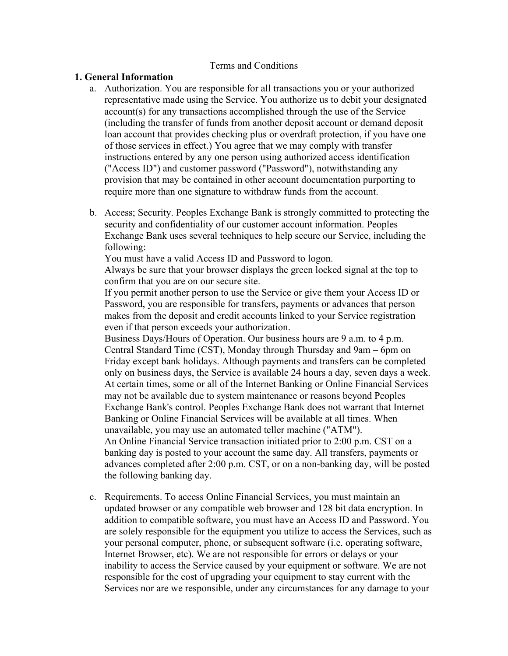## Terms and Conditions

## **1. General Information**

- a. Authorization. You are responsible for all transactions you or your authorized representative made using the Service. You authorize us to debit your designated account(s) for any transactions accomplished through the use of the Service (including the transfer of funds from another deposit account or demand deposit loan account that provides checking plus or overdraft protection, if you have one of those services in effect.) You agree that we may comply with transfer instructions entered by any one person using authorized access identification ("Access ID") and customer password ("Password"), notwithstanding any provision that may be contained in other account documentation purporting to require more than one signature to withdraw funds from the account.
- b. Access; Security. Peoples Exchange Bank is strongly committed to protecting the security and confidentiality of our customer account information. Peoples Exchange Bank uses several techniques to help secure our Service, including the following:

You must have a valid Access ID and Password to logon.

Always be sure that your browser displays the green locked signal at the top to confirm that you are on our secure site.

If you permit another person to use the Service or give them your Access ID or Password, you are responsible for transfers, payments or advances that person makes from the deposit and credit accounts linked to your Service registration even if that person exceeds your authorization.

Business Days/Hours of Operation. Our business hours are 9 a.m. to 4 p.m. Central Standard Time (CST), Monday through Thursday and 9am – 6pm on Friday except bank holidays. Although payments and transfers can be completed only on business days, the Service is available 24 hours a day, seven days a week. At certain times, some or all of the Internet Banking or Online Financial Services may not be available due to system maintenance or reasons beyond Peoples Exchange Bank's control. Peoples Exchange Bank does not warrant that Internet Banking or Online Financial Services will be available at all times. When unavailable, you may use an automated teller machine ("ATM"). An Online Financial Service transaction initiated prior to 2:00 p.m. CST on a banking day is posted to your account the same day. All transfers, payments or advances completed after 2:00 p.m. CST, or on a non-banking day, will be posted

the following banking day.

c. Requirements. To access Online Financial Services, you must maintain an updated browser or any compatible web browser and 128 bit data encryption. In addition to compatible software, you must have an Access ID and Password. You are solely responsible for the equipment you utilize to access the Services, such as your personal computer, phone, or subsequent software (i.e. operating software, Internet Browser, etc). We are not responsible for errors or delays or your inability to access the Service caused by your equipment or software. We are not responsible for the cost of upgrading your equipment to stay current with the Services nor are we responsible, under any circumstances for any damage to your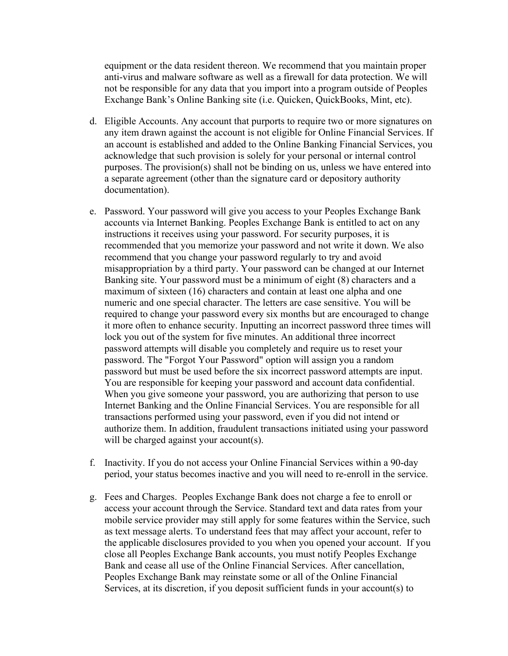equipment or the data resident thereon. We recommend that you maintain proper anti-virus and malware software as well as a firewall for data protection. We will not be responsible for any data that you import into a program outside of Peoples Exchange Bank's Online Banking site (i.e. Quicken, QuickBooks, Mint, etc).

- d. Eligible Accounts. Any account that purports to require two or more signatures on any item drawn against the account is not eligible for Online Financial Services. If an account is established and added to the Online Banking Financial Services, you acknowledge that such provision is solely for your personal or internal control purposes. The provision(s) shall not be binding on us, unless we have entered into a separate agreement (other than the signature card or depository authority documentation).
- e. Password. Your password will give you access to your Peoples Exchange Bank accounts via Internet Banking. Peoples Exchange Bank is entitled to act on any instructions it receives using your password. For security purposes, it is recommended that you memorize your password and not write it down. We also recommend that you change your password regularly to try and avoid misappropriation by a third party. Your password can be changed at our Internet Banking site. Your password must be a minimum of eight (8) characters and a maximum of sixteen (16) characters and contain at least one alpha and one numeric and one special character. The letters are case sensitive. You will be required to change your password every six months but are encouraged to change it more often to enhance security. Inputting an incorrect password three times will lock you out of the system for five minutes. An additional three incorrect password attempts will disable you completely and require us to reset your password. The "Forgot Your Password" option will assign you a random password but must be used before the six incorrect password attempts are input. You are responsible for keeping your password and account data confidential. When you give someone your password, you are authorizing that person to use Internet Banking and the Online Financial Services. You are responsible for all transactions performed using your password, even if you did not intend or authorize them. In addition, fraudulent transactions initiated using your password will be charged against your account(s).
- f. Inactivity. If you do not access your Online Financial Services within a 90-day period, your status becomes inactive and you will need to re-enroll in the service.
- g. Fees and Charges. Peoples Exchange Bank does not charge a fee to enroll or access your account through the Service. Standard text and data rates from your mobile service provider may still apply for some features within the Service, such as text message alerts. To understand fees that may affect your account, refer to the applicable disclosures provided to you when you opened your account. If you close all Peoples Exchange Bank accounts, you must notify Peoples Exchange Bank and cease all use of the Online Financial Services. After cancellation, Peoples Exchange Bank may reinstate some or all of the Online Financial Services, at its discretion, if you deposit sufficient funds in your account(s) to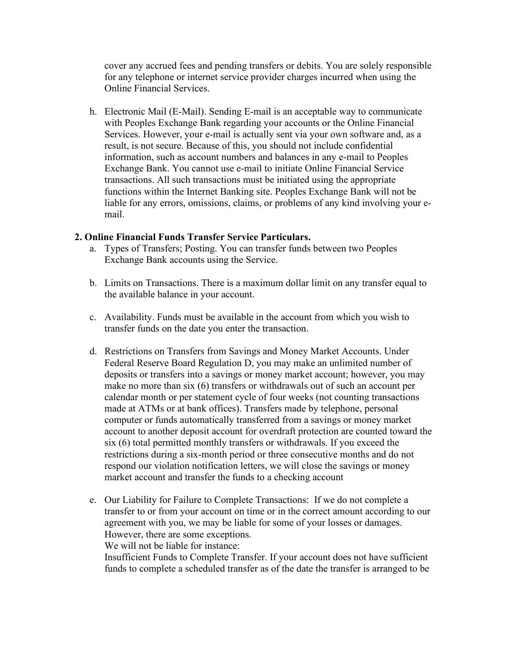cover any accrued fees and pending transfers or debits. You are solely responsible for any telephone or internet service provider charges incurred when using the Online Financial Services.

h. Electronic Mail (E-Mail). Sending E-mail is an acceptable way to communicate with Peoples Exchange Bank regarding your accounts or the Online Financial Services. However, your e-mail is actually sent via your own software and, as a result, is not secure. Because of this, you should not include confidential information, such as account numbers and balances in any e-mail to Peoples Exchange Bank. You cannot use e-mail to initiate Online Financial Service transactions. All such transactions must be initiated using the appropriate functions within the Internet Banking site. Peoples Exchange Bank will not be liable for any errors, omissions, claims, or problems of any kind involving your email.

## **2. Online Financial Funds Transfer Service Particulars.**

- a. Types of Transfers; Posting. You can transfer funds between two Peoples Exchange Bank accounts using the Service.
- b. Limits on Transactions. There is a maximum dollar limit on any transfer equal to the available balance in your account.
- c. Availability. Funds must be available in the account from which you wish to transfer funds on the date you enter the transaction.
- d. Restrictions on Transfers from Savings and Money Market Accounts. Under Federal Reserve Board Regulation D, you may make an unlimited number of deposits or transfers into a savings or money market account; however, you may make no more than six (6) transfers or withdrawals out of such an account per calendar month or per statement cycle of four weeks (not counting transactions made at ATMs or at bank offices). Transfers made by telephone, personal computer or funds automatically transferred from a savings or money market account to another deposit account for overdraft protection are counted toward the six (6) total permitted monthly transfers or withdrawals. If you exceed the restrictions during a six-month period or three consecutive months and do not respond our violation notification letters, we will close the savings or money market account and transfer the funds to a checking account
- e. Our Liability for Failure to Complete Transactions: If we do not complete a transfer to or from your account on time or in the correct amount according to our agreement with you, we may be liable for some of your losses or damages. However, there are some exceptions.

We will not be liable for instance:

Insufficient Funds to Complete Transfer. If your account does not have sufficient funds to complete a scheduled transfer as of the date the transfer is arranged to be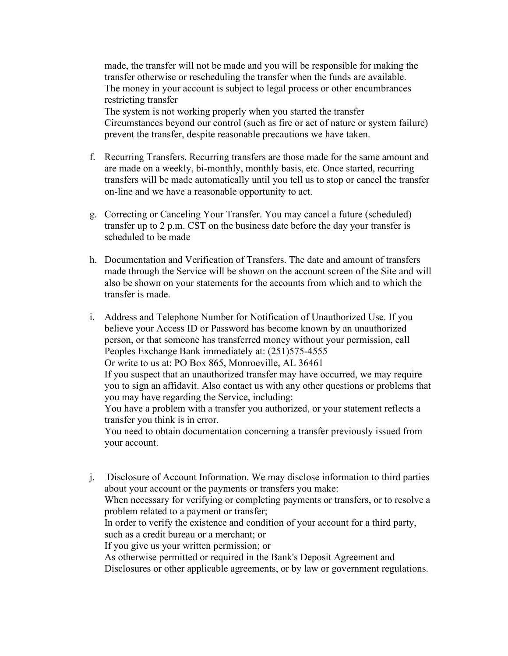made, the transfer will not be made and you will be responsible for making the transfer otherwise or rescheduling the transfer when the funds are available. The money in your account is subject to legal process or other encumbrances restricting transfer

The system is not working properly when you started the transfer Circumstances beyond our control (such as fire or act of nature or system failure) prevent the transfer, despite reasonable precautions we have taken.

- f. Recurring Transfers. Recurring transfers are those made for the same amount and are made on a weekly, bi-monthly, monthly basis, etc. Once started, recurring transfers will be made automatically until you tell us to stop or cancel the transfer on-line and we have a reasonable opportunity to act.
- g. Correcting or Canceling Your Transfer. You may cancel a future (scheduled) transfer up to 2 p.m. CST on the business date before the day your transfer is scheduled to be made
- h. Documentation and Verification of Transfers. The date and amount of transfers made through the Service will be shown on the account screen of the Site and will also be shown on your statements for the accounts from which and to which the transfer is made.
- i. Address and Telephone Number for Notification of Unauthorized Use. If you believe your Access ID or Password has become known by an unauthorized person, or that someone has transferred money without your permission, call Peoples Exchange Bank immediately at: (251)575-4555 Or write to us at: PO Box 865, Monroeville, AL 36461 If you suspect that an unauthorized transfer may have occurred, we may require you to sign an affidavit. Also contact us with any other questions or problems that you may have regarding the Service, including: You have a problem with a transfer you authorized, or your statement reflects a transfer you think is in error. You need to obtain documentation concerning a transfer previously issued from your account.
- j. Disclosure of Account Information. We may disclose information to third parties about your account or the payments or transfers you make: When necessary for verifying or completing payments or transfers, or to resolve a problem related to a payment or transfer; In order to verify the existence and condition of your account for a third party, such as a credit bureau or a merchant; or If you give us your written permission; or As otherwise permitted or required in the Bank's Deposit Agreement and Disclosures or other applicable agreements, or by law or government regulations.